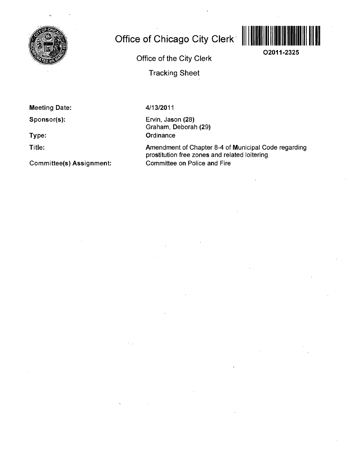

# **Office of Chicago City Clerk ||||||||||**



**Office of the City Clerk** 

**Tracking Sheet** 

**Meeting Date:** 

**Sponsor(s):** 

**Type:** 

**Title:** 

**Committee(s) Assignment:** 

4/13/2011

Ervin, Jason (28) Graham, Deborah (29) **Ordinance** 

Amendment of Chapter 8-4 of Municipal Code regarding prostitution free zones and related loitering Committee on Police and Fire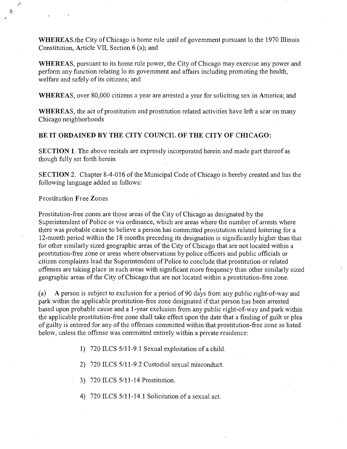WHEREAS, the City of Chicago is home rule until of govemment pursuant lo the 1970 Illinois Constitution, Article VII, Section 6 (a); and

WHEREAS, pursuant to its home rule power, the City of Chicago may exercise any power and perform any function relating lo its govemment and affairs including promoting the health, welfare and safely of its citizens; and

WHEREAS, over 80,000 citizens a year are arrested a year for soliciting sex in America; and

WHEREAS, the act of prostitution and prostitution related activities have left a scar on many Chicago neighborhoods

## **BE IT ORDAINED BY THE CITY COUNCIL OF THE CITY OF CHICAGO:**

SECTION 1. The above recitals are expressly incorporated herein and made part thereof as though fully set forth herein

SECTION 2. Chapter 8-4-016 of the Municipal Code of Chicago is hereby created and has the following language added as follows:

#### **Prostitution Free Zones**

Ň.

Prostitution-free zones are those areas of the City of Chicago as designated by the Superintendent of Police or via ordinance, which are areas where the number of arrests where there was probable cause to believe a person has committed prostitution related loitering for a 12-month period within the 18 months preceding its designation is significantly higher than that for other similarly sized geographic areas of the City of Chicago that are not located within a prostitution-free zone or areas where observations by police officers and public officials or citizen complaints lead the Superintendent of Police to conclude that prostitution or related offenses are taking place in such areas with significant more frequency than other similarly sized geographic areas of the City of Chicago that are not located within a prostitution-free zone.

(a) A person is subject to exclusion for a period of 90 days from any public right-of-way and park within the applicable prostitution-free zone designated if that person has been arrested based upon probable cause and a 1-year exclusion from any public right-of-way and park within the applicable prostitution-free zone shall take effect upon the date that a finding of guilt or plea of guilty is entered for any of the offenses committed within that prostitution-free zone as listed below, unless the offense was committed entirely within a private residence:

1) 720 ILCS 5/11-9.1 Sexual exploitation of a child.

2) 720 ILCS 5/11-9.2 Custodial sexual misconduct.

3) 720 ILCS 5/11-14 Prostitution.

4) 720 ILCS 5/11-14.1 Solicitation of a sexual act.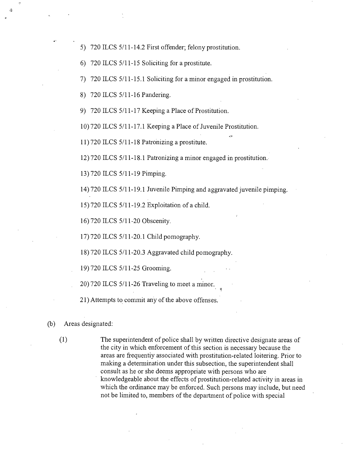- 5) 720 ILCS 5/11-14.2 First offender; felony prostitution.
- 6) 720 ILCS  $5/11-15$  Soliciting for a prostitute.
- 7) 720 ILCS 5/11-15.1 Soliciting for a minor engaged in prostitution.
- 8) 720 ILCS 5/11-16 Pandering.
- 9) 720 ILCS 5/11-17 Keeping a Place of Prostitution.

10) 720 ILCS 5/11-17.1 Keeping a Place of Juvenile Prostitution.

11) 720 ILCS  $5/11-18$  Patronizing a prostitute.

12) 720 ILCS 5/11-18.1 Patronizing a minor engaged in prostitution.

13) 720 ILCS 5/11-19 Pimping.

14) 720 ILCS 5/11-19.1 Juvenile Pimping and aggravated juvenile pimping.

15) 720 ILCS 5/11-19.2 Exploitation of a child.

16) 720 ILCS 5/11-20 Obscenity

17) 720 ILCS 5/11-20.1 Child pomography

18) 720 ILCS 5/11-20.3 Aggravated child pomography

19) 720 ILCS 5/11-25 Grooming.

20) 720 ILCS 5/11-26 Traveling to meet a minor.

21) Attempts to commit any of the above offenses.

## (b) Areas designated:

(1) The superintendent of police shall by written directive designate areas of the city in which enforcement of this section is necessary because the areas are frequentiy associated with prostitution-related loitering. Prior to making a determination under this subsection, the superintendent shall consult as he or she deems appropriate with persons who are knowledgeable about the effects of prostitution-related activity in areas in which the ordinance may be enforced. Such persons may include, but need not be limited to, members of the department of police with special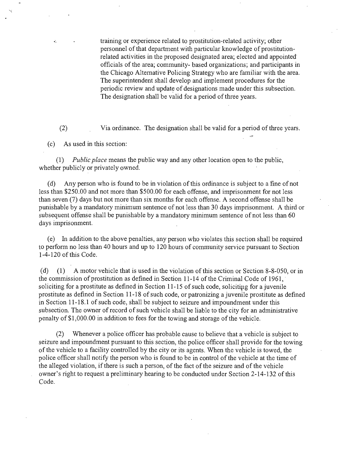training or experience related to prostitution-related activity; other personnel of that department with particular knowledge of prostitutionrelated activities in the proposed designated area; elected and appointed officials of the area; community- based organizations; and participants in the Chicago Alternative Policing Strategy who are familiar with the area. The superintendent shall develop and implement procedures for the periodic review and update of designations made under this subsection. The designation shall be valid for a period of three years.

(2) Via ordinance. The designation shall be valid for a period of three years.

(c) As used in this section:

 $\mathcal{L}$ 

(1) Public place means the public way and any other location open to the public, whether publicly or privately owned.

(d) Any person who is found to be in violation of this ordinance is subject to a fine of not less than \$250.00 and not more than \$500.00 for each offense, and imprisonment for not less than seven (7) days but not more than six months for each offense. A second offense shall be punishable by a mandatory minimum sentence of not less than 30 days imprisonment. A third or subsequent offense shall be punishable by a mandatory minimum sentence of not less than 60 days imprisonment.

(e) In addition to the above penalties, any person who violates this section shall be required to perform no less than 40 hours and up to 120 hours of community service pursuant to Section  $1-4-120$  of this Code.

(d) (1) A motor vehicle that is used in the violation of this section or Section 8-8-050, or in the commission of prostitution as defined in Section 11-14 of the Criminal Code of 1961, soliciting for a prostitute as defined in Section  $11-15$  of such code, soliciting for a juvenile prostitute as defined in Section 11 -18 of such code, or patronizing a juvenile prostitute as defined in Section 11-18.1 of such code, shall be subject to seizure and impoundment under this subsection. The owner of record of such vehicle shall be liable to the city for an administrative penalty of \$1,000.00 in addition to fees for the towing and storage of the vehicle.

(2) Whenever a police officer has probable cause to believe that a vehicle is subject to seizure and impoundment pursuant to this section, the police officer shall provide for the towing of the vehicle to a facility controlled by the city or its agents. When the vehicle is towed, the police officer shall notify the person who is found to be in control of the vehicle at the time of the alleged violation, if there is such a person, of the fact of the seizure and of the vehicle owner's right to request a preliminary hearing to be conducted under Section 2-14-132 of this Code.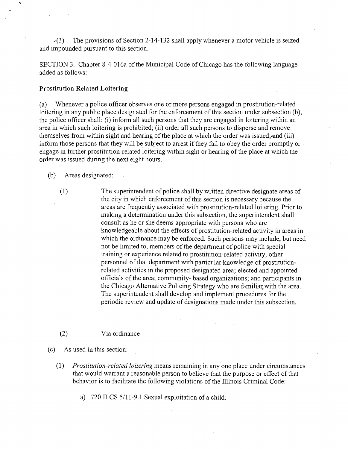$\cdot$ (3) The provisions of Section 2-14-132 shall apply whenever a motor vehicle is seized and impounded pursuant to this section.

SECTION 3. Chapter 8-4-016a of the Municipal Code of Chicago has the following language added as follows:

### **Prostitution Related Loitering**

(a) Whenever a police officer observes one or more persons engaged in prostitution-related loitering in any public place designated for the enforcement of this section under subsection (b), the police officer shall: (i) inform all such persons that they are engaged in loitering within an area in which such loitering is prohibited; (ii) order all such persons to disperse and remove themselves from within sight and hearing of the place at which the order was issued; and (iii) inform those persons that they will be subject to arrest if they fail to obey the order promptly or engage in further prostitution-related loitering within sight or hearing of the place at which the order was issued during the next eight hours.

(b) Areas designated:

- (1) The superintendent of police shall by written directive designate areas of the city in which enforcement of this section is necessary because the areas are frequentiy associated with prostitution-related loitering. Prior to making a determination under this subsection, the superintendent shall consult as he or she deems appropriate with persons who are knowledgeable about the effects of prostitution-related activity in areas in which the ordinance may be enforced. Such persons may include, but need not be limited to, members of the department of police with special training or experience related to prostitution-related activity; other personnel of that department with particular knowledge of prostitutionrelated activities in the proposed designated area; elected and appointed officials of the area; community- based organizations; and participants in the Chicago Alternative Policing Strategy who are familiar, with the area. The superintendent shall develop and implement procedures for the periodic review and update of designations made under this subsection.
- (2) Via ordinance

(c) As used in this section:

(1) Prostitution-related loitering means remaining in any one place under circumstances that would warrant a reasonable person to believe that the purpose or effect of that behavior is to facilitate the following violations of the Illinois Criminal Code:

a) 720 ILCS 5/11-9.1 Sexual exploitation of a child.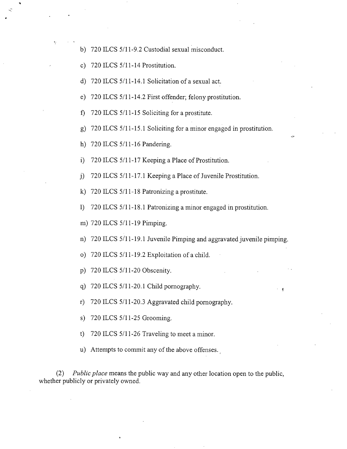- b) 720 ILCS 5/11-9.2 Custodial sexual misconduct.
- c) 720 ILCS 5/11-14 Prostitution.
- d) 720 ILCS 5/11-14.1 Solicitation of a sexual act.
- e) 720 ILCS 5/11-14.2 First offender; felony prostitution.
- f) 720 ILCS 5/11-15 Soliciting for a prostitute.
- g) 720 ILCS  $5/11-15.1$  Soliciting for a minor engaged in prostitution.
- h) 720 ILCS 5/11-16 Pandering.
- i) 720 ILCS 5/11-17 Keeping a Place of Prostitution.
- $j$ ) 720 ILCS 5/11-17.1 Keeping a Place of Juvenile Prostitution.
- k)  $720$  ILCS  $5/11$ -18 Patronizing a prostitute.
- 1) 720 ILCS 5/11-18.1 Patronizing a minor engaged in prostitution.
- m) 720 ILCS 5/11-19 Pimping.
- n) 720 ILCS 5/11-19.1 Juvenile Pimping and aggravated juvenile pimping.
- o) 720 ILCS  $5/11$ -19.2 Exploitation of a child.
- p) 720 ILCS  $5/11$ -20 Obscenity.
- q) 720 ILCS  $5/11-20.1$  Child pornography.
- r) 720 ILCS 5/11-20.3 Aggravated child pornography.
- s) 720 ILCS 5/11-25 Grooming.
- t) 720 ILCS  $5/11-26$  Traveling to meet a minor.
- u) Attempts to commit any of the above offenses.

(2) Public place means the public way and any other location open to the public, whether publicly or privately owned.